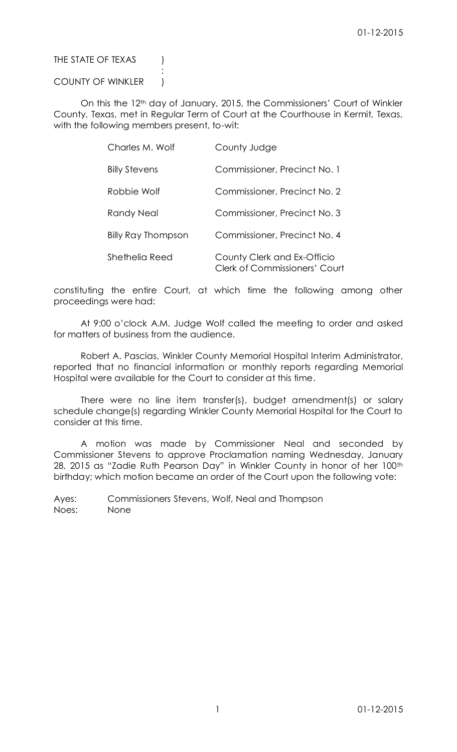# THE STATE OF TEXAS (1)

## COUNTY OF WINKLER )

:

On this the 12th day of January, 2015, the Commissioners' Court of Winkler County, Texas, met in Regular Term of Court at the Courthouse in Kermit, Texas, with the following members present, to-wit:

| Charles M. Wolf      | County Judge                                                        |
|----------------------|---------------------------------------------------------------------|
| <b>Billy Stevens</b> | Commissioner, Precinct No. 1                                        |
| Robbie Wolf          | Commissioner, Precinct No. 2                                        |
| Randy Neal           | Commissioner, Precinct No. 3                                        |
| Billy Ray Thompson   | Commissioner, Precinct No. 4                                        |
| Shethelia Reed       | County Clerk and Ex-Officio<br><b>Clerk of Commissioners' Court</b> |

constituting the entire Court, at which time the following among other proceedings were had:

At 9:00 o'clock A.M. Judge Wolf called the meeting to order and asked for matters of business from the audience.

Robert A. Pascias, Winkler County Memorial Hospital Interim Administrator, reported that no financial information or monthly reports regarding Memorial Hospital were available for the Court to consider at this time.

There were no line item transfer(s), budget amendment(s) or salary schedule change(s) regarding Winkler County Memorial Hospital for the Court to consider at this time.

A motion was made by Commissioner Neal and seconded by Commissioner Stevens to approve Proclamation naming Wednesday, January 28, 2015 as "Zadie Ruth Pearson Day" in Winkler County in honor of her 100th birthday; which motion became an order of the Court upon the following vote:

Ayes: Commissioners Stevens, Wolf, Neal and Thompson Noes: None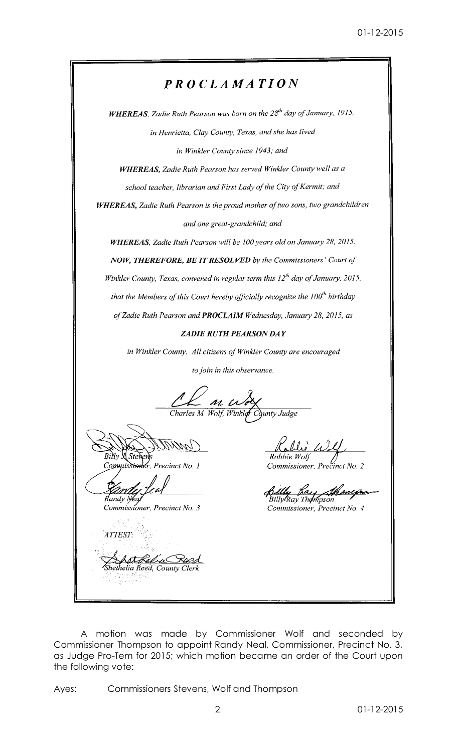# PROCLAMATION

WHEREAS, Zadie Ruth Pearson was born on the 28<sup>th</sup> day of January, 1915, in Henrietta, Clay County, Texas, and she has lived in Winkler County since 1943; and

WHEREAS, Zadie Ruth Pearson has served Winkler County well as a school teacher, librarian and First Lady of the City of Kermit; and

WHEREAS, Zadie Ruth Pearson is the proud mother of two sons, two grandchildren and one great-grandchild; and

WHEREAS, Zadie Ruth Pearson will be 100 years old on January 28, 2015.

NOW, THEREFORE, BE IT RESOLVED by the Commissioners' Court of

Winkler County, Texas, convened in regular term this 12<sup>th</sup> day of January, 2015,

that the Members of this Court hereby officially recognize the  $100<sup>th</sup>$  birthday

of Zadie Ruth Pearson and PROCLAIM Wednesday, January 28, 2015, as

# **ZADIE RUTH PEARSON DAY**

in Winkler County. All citizens of Winkler County are encouraged

to join in this observance.

BiN.

ler, Precinct No. 1 Commissie

Randy Nea Commissioner, Precinct No. 3

ATTEST: <u>Ast Rel'a Roes</u><br>hethelia Reed, County Cleri

Robbie Wolj

Commissioner, Precinct No. 2

Billy Kay Shonip<br>BillyRay Thompson

Commissioner, Precinct No. 4

A motion was made by Commissioner Wolf and seconded by Commissioner Thompson to appoint Randy Neal, Commissioner, Precinct No. 3, as Judge Pro-Tem for 2015; which motion became an order of the Court upon the following vote:

Commissioners Stevens, Wolf and Thompson Ayes: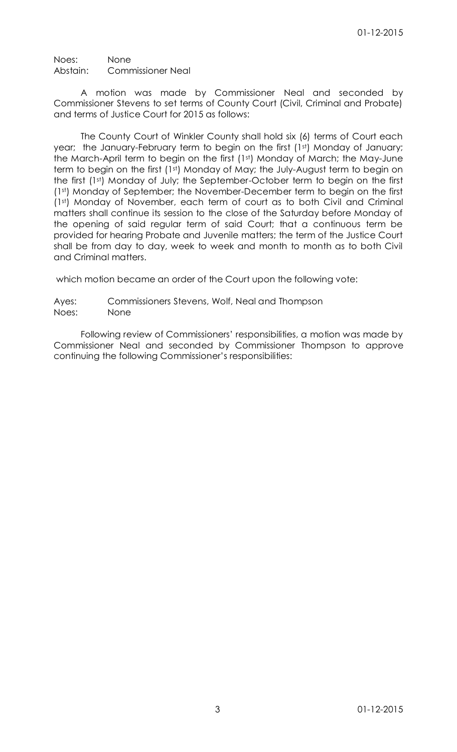Noes: None Abstain: Commissioner Neal

A motion was made by Commissioner Neal and seconded by Commissioner Stevens to set terms of County Court (Civil, Criminal and Probate) and terms of Justice Court for 2015 as follows:

The County Court of Winkler County shall hold six (6) terms of Court each year; the January-February term to begin on the first (1st) Monday of January; the March-April term to begin on the first (1st) Monday of March; the May-June term to begin on the first (1st) Monday of May; the July-August term to begin on the first (1st) Monday of July; the September-October term to begin on the first (1st) Monday of September; the November-December term to begin on the first (1st) Monday of November, each term of court as to both Civil and Criminal matters shall continue its session to the close of the Saturday before Monday of the opening of said regular term of said Court; that a continuous term be provided for hearing Probate and Juvenile matters; the term of the Justice Court shall be from day to day, week to week and month to month as to both Civil and Criminal matters.

which motion became an order of the Court upon the following vote:

Ayes: Commissioners Stevens, Wolf, Neal and Thompson Noes: None

Following review of Commissioners' responsibilities, a motion was made by Commissioner Neal and seconded by Commissioner Thompson to approve continuing the following Commissioner's responsibilities: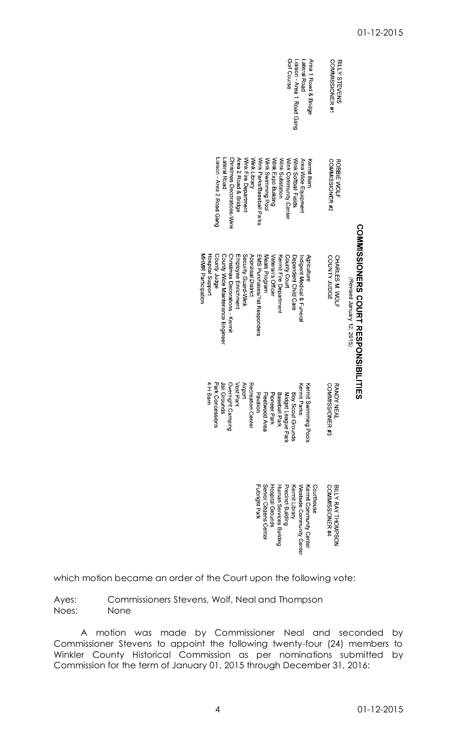|                                                      |                            |                                  |                                |                      |                      |                    |                              |                        |                         |                         | Golf Course           | Liaison - Area 1 Road Gang | Lateral Road                          | Area 1 Road & Bridge    |            | <b>COMMISSIONER#1</b>  | BILLY STEVENS      |                                                               |
|------------------------------------------------------|----------------------------|----------------------------------|--------------------------------|----------------------|----------------------|--------------------|------------------------------|------------------------|-------------------------|-------------------------|-----------------------|----------------------------|---------------------------------------|-------------------------|------------|------------------------|--------------------|---------------------------------------------------------------|
|                                                      | Liaison - Area 2 Road Gang | Lateral Road                     | Christmas Decorations-Wink     | Area 2 Road & Bridge | Wrik Fire Department | Wink Library       | Wink Parks/Baseball Parks    | Wink Swimming Pool     | Wink Expo Building      | Wink Substation         | Wink Community Center | Wink Softball Fields       | Area Wide Equipment                   | Kermit Barn             |            | COMMISSIONER #2        | <b>ROBBIE WOLF</b> |                                                               |
| <b>MHMR</b> Participation<br><b>Hospital Support</b> | County Judge               | County Wide Maintenance Engineer | Christmas Decorations - Kermit | Employee Enrichment  | Security Guard-Wink  | Appraisal District | EMS Purchases/1st Responders | Meals Program          | Veteran's Officer       | Kernit Fire Department  | County Court          | Dependent Child Care       | <b>Latigant Medical &amp; Lineral</b> | Agriculture             |            | COUNTY JUDGE           | CHARLES M. WOLF    | COMMISSIONERS COURT RESPONSIBIL<br>(Revised January 12, 2015) |
| 4-H Barn                                             | Park Concessions           | Jail Grounds                     | Overnight Camping              | <b>Vest Park</b>     | <b>Airport</b>       | Recreation Center  | Pavillion                    | Fleetwood Area         | Pioneer Park            | Baseball Park           | Midget League Park    | Boy Scout Grounds          | Kermit Parks:                         | Kermit Swimming Pools   |            | COMMISSIONER #3        | <b>RANDY NEAL</b>  | 三元の                                                           |
|                                                      |                            |                                  |                                |                      |                      |                    | Fulbright Park               | Senior Citizens Center | <b>Hospital Grounds</b> | Human Services Building | Precinct Building     | Kermit Library             | Westside Community Center             | Kermit Community Center | Courthouse | <b>COMMISSIONER #4</b> | BILLY RAY THOMPSON |                                                               |

which motion became an order of the Court upon the following vote:

Ayes: Commissioners Stevens, Wolf, Neal and Thompson Noes: None

A motion was made by Commissioner Neal and seconded by Commissioner Stevens to appoint the following twenty-four (24) members to Winkler County Historical Commission as per nominations submitted by Commission for the term of January 01, 2015 through December 31, 2016: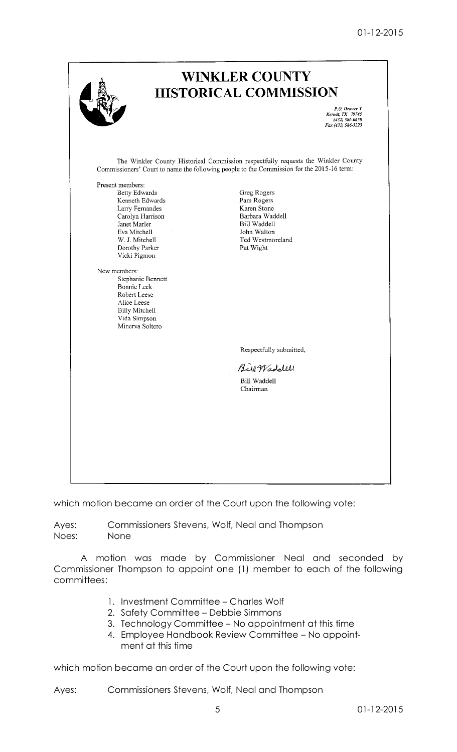01-12-2015

|                                                                                                                                                                                                                                                                                                                                | <b>WINKLER COUNTY</b><br><b>HISTORICAL COMMISSION</b>                                                                                                                          |
|--------------------------------------------------------------------------------------------------------------------------------------------------------------------------------------------------------------------------------------------------------------------------------------------------------------------------------|--------------------------------------------------------------------------------------------------------------------------------------------------------------------------------|
|                                                                                                                                                                                                                                                                                                                                | P.O. Drawer Y<br>Kermit, TX 79745<br>(432) 586-6658<br>Fax (432) 586-3223                                                                                                      |
|                                                                                                                                                                                                                                                                                                                                | The Winkler County Historical Commission respectfully requests the Winkler County<br>Commissioners' Court to name the following people to the Commission for the 2015-16 term: |
| Present members:<br>Betty Edwards<br>Kenneth Edwards<br>Larry Fernandes<br>Carolyn Harrison<br>Janet Marler<br>Eva Mitchell<br>W. J. Mitchell<br>Dorothy Parker<br>Vicki Pigmon<br>New members:<br>Stephanie Bennett<br>Bonnie Leck<br>Robert Leese<br>Alice Leese<br><b>Billy Mitchell</b><br>Vida Simpson<br>Minerva Soltero | Greg Rogers<br>Pam Rogers<br>Karen Stone<br>Barbara Waddell<br>Bill Waddell<br>John Walton<br>Ted Westmoreland<br>Pat Wight                                                    |
|                                                                                                                                                                                                                                                                                                                                | Respectfully submitted,                                                                                                                                                        |
|                                                                                                                                                                                                                                                                                                                                | Bill Waddlell<br><b>Bill Waddell</b><br>Chairman                                                                                                                               |
|                                                                                                                                                                                                                                                                                                                                |                                                                                                                                                                                |

which motion became an order of the Court upon the following vote:

Ayes: Commissioners Stevens, Wolf, Neal and Thompson Noes: None

A motion was made by Commissioner Neal and seconded by Commissioner Thompson to appoint one (1) member to each of the following committees:

- 1. Investment Committee Charles Wolf
- 2. Safety Committee Debbie Simmons
- 3. Technology Committee No appointment at this time
- 4. Employee Handbook Review Committee No appointment at this time

which motion became an order of the Court upon the following vote:

Ayes: Commissioners Stevens, Wolf, Neal and Thompson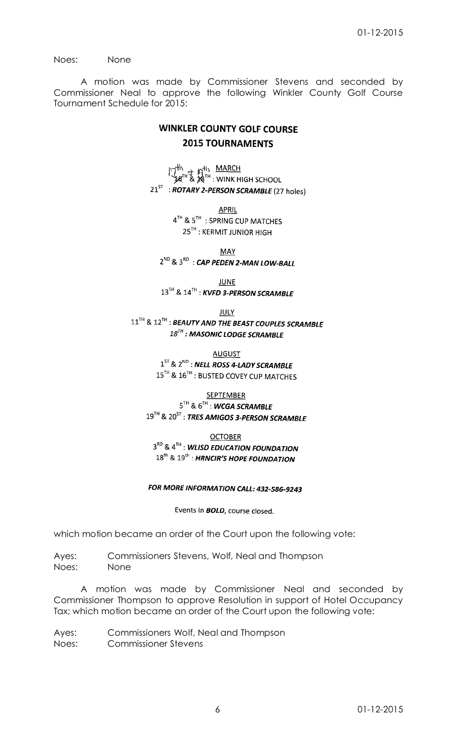Noes: None

A motion was made by Commissioner Stevens and seconded by Commissioner Neal to approve the following Winkler County Golf Course Tournament Schedule for 2015:

# **WINKLER COUNTY GOLF COURSE 2015 TOURNAMENTS**

 $\begin{bmatrix} 1 & 1 & 1 \\ 1 & 1 & 1 \end{bmatrix}$  of  $\begin{bmatrix} 1 & 1 & 1 \\ 1 & 1 & 1 \end{bmatrix}$  wink high school  $21^{ST}$ : ROTARY 2-PERSON SCRAMBLE (27 holes)

**APRIL** 

4TH & 5TH : SPRING CUP MATCHES 25<sup>TH</sup>: KERMIT JUNIOR HIGH

**MAY**  $2^{ND}$  &  $3^{RD}$  : CAP PEDEN 2-MAN LOW-BALL

**JUNE** 13TH & 14TH: KVFD 3-PERSON SCRAMBLE

**JULY** 11<sup>TH</sup> & 12<sup>TH</sup>: BEAUTY AND THE BEAST COUPLES SCRAMBLE  $18^{7H}$ : MASONIC LODGE SCRAMBLE

> **AUGUST**  $1^{ST}$  &  $2^{ND}$  : NELL ROSS 4-LADY SCRAMBLE 15TH & 16TH : BUSTED COVEY CUP MATCHES

**SEPTEMBER**  $5^{TH}$  &  $6^{TH}$  : WCGA SCRAMBLE  $19^{TH}$  &  $20^{ST}$  : TRES AMIGOS 3-PERSON SCRAMBLE

**OCTOBER** 3RD & 4TH : WLISD EDUCATION FOUNDATION 18<sup>th</sup> & 19<sup>th</sup>: HRNCIR'S HOPE FOUNDATION

# FOR MORE INFORMATION CALL: 432-586-9243

Events in **BOLD**, course closed.

which motion became an order of the Court upon the following vote:

Ayes: Commissioners Stevens, Wolf, Neal and Thompson Noes: None

A motion was made by Commissioner Neal and seconded by Commissioner Thompson to approve Resolution in support of Hotel Occupancy Tax; which motion became an order of the Court upon the following vote:

Ayes: Commissioners Wolf, Neal and Thompson Noes: Commissioner Stevens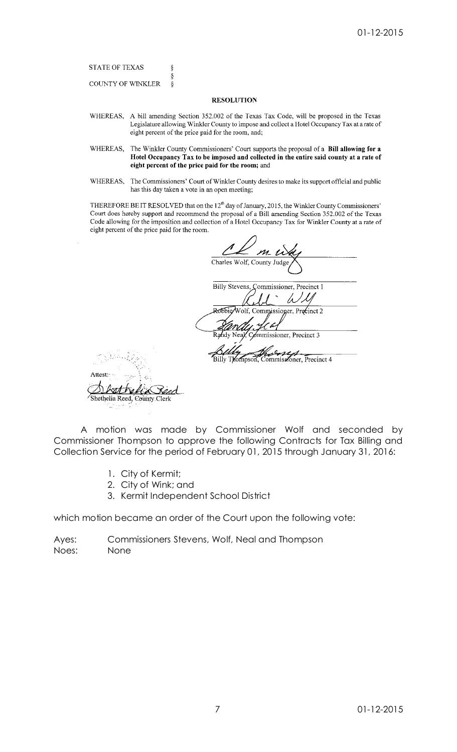**STATE OF TEXAS COUNTY OF WINKLER** 

ş Ş

 $\delta$ 

### **RESOLUTION**

- WHEREAS, A bill amending Section 352.002 of the Texas Tax Code, will be proposed in the Texas Legislature allowing Winkler County to impose and collect a Hotel Occupancy Tax at a rate of eight percent of the price paid for the room, and;
- WHEREAS, The Winkler County Commissioners' Court supports the proposal of a Bill allowing for a Hotel Occupancy Tax to be imposed and collected in the entire said county at a rate of eight percent of the price paid for the room; and
- WHEREAS, The Commissioners' Court of Winkler County desires to make its support official and public has this day taken a vote in an open meeting;

THEREFORE BE IT RESOLVED that on the 12<sup>th</sup> day of January, 2015, the Winkler County Commissioners' Court does hereby support and recommend the proposal of a Bill amending Section 352.002 of the Texas Code allowing for the imposition and collection of a Hotel Occupancy Tax for Winkler County at a rate of eight percent of the price paid for the room.

|                          | $m$ $\omega$                             |
|--------------------------|------------------------------------------|
|                          | Charles Wolf, County Judge,              |
|                          | Billy Stevens, Commissioner, Precinct 1  |
|                          | Robbie/Wolf, Commissioner, Precinct 2    |
|                          |                                          |
|                          | Commissioner, Precinct 3<br>Randy Nea    |
|                          | Billy Thompson, Commissioner, Precinct 4 |
|                          |                                          |
|                          |                                          |
| helia Reed, County Clerk |                                          |

A motion was made by Commissioner Wolf and seconded by Commissioner Thompson to approve the following Contracts for Tax Billing and Collection Service for the period of February 01, 2015 through January 31, 2016:

1. City of Kermit;

Atte

- 2. City of Wink; and
- 3. Kermit Independent School District

which motion became an order of the Court upon the following vote:

Ayes: Commissioners Stevens, Wolf, Neal and Thompson Noes: None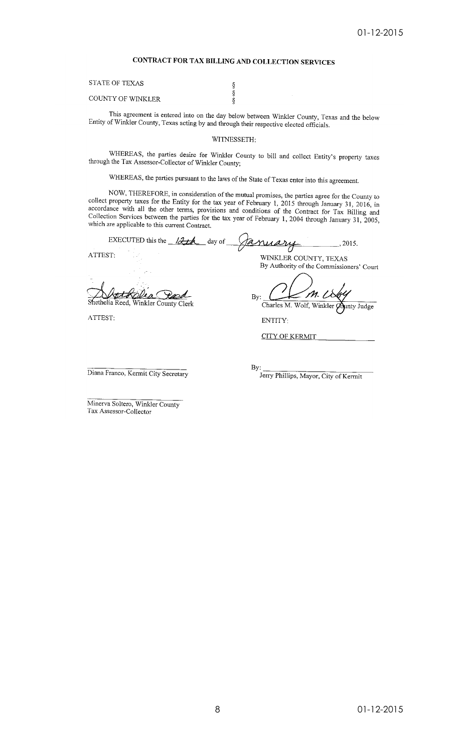### CONTRACT FOR TAX BILLING AND COLLECTION SERVICES

 $\S$ s<br>§

**STATE OF TEXAS** 

COUNTY OF WINKLER

This agreement is entered into on the day below between Winkler County, Texas and the below Entity of Winkler County, Texas acting by and through their respective elected officials.

WITNESSETH:

WHEREAS, the parties desire for Winkler County to bill and collect Entity's property taxes through the Tax Assessor-Collector of Winkler County;

WHEREAS, the parties pursuant to the laws of the State of Texas enter into this agreement.

NOW, THEREFORE, in consideration of the mutual promises, the parties agree for the County to collect property taxes for the Entity for the tax year of February 1, 2015 through January 31, 2016, in<br>accordance with all the other terms, provisions and conditions of the Contract for Tax Billing and Collection Services between the parties for the tax year of February 1, 2004 through January 31, 2005, which are applicable to this current Contract.

January EXECUTED this the 12th  $day$  of , 2015. ATTEST: WINKLER COUNTY, TEXAS By Authority of the Commissioners' Court

 $\boldsymbol{m}$ By: Charles M. Wolf, Winkler Q unty Judge

ENTITY:

**CITY OF KERMIT** 

Diana Franco, Kermit City Secretary

Winkler County Clerk

By: Jerry Phillips, Mayor, City of Kermit

Minerva Soltero, Winkler County Tax Assessor-Collector

Shethelia Reed,

ATTEST: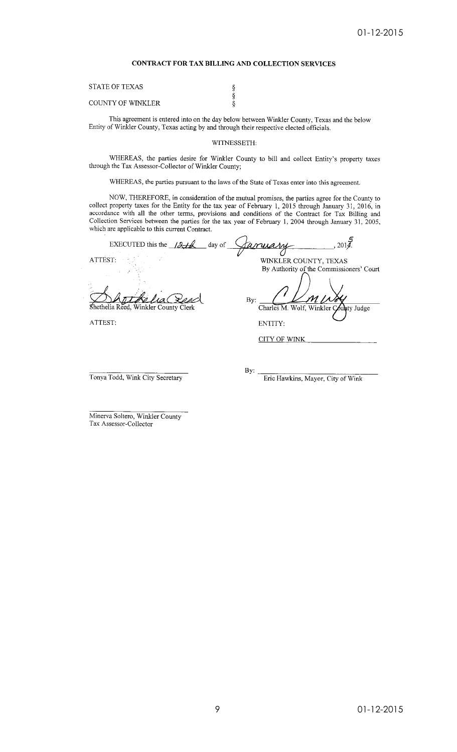### CONTRACT FOR TAX BILLING AND COLLECTION SERVICES

| <b>STATE OF TEXAS</b>    |  |
|--------------------------|--|
|                          |  |
| <b>COUNTY OF WINKLER</b> |  |

This agreement is entered into on the day below between Winkler County, Texas and the below Entity of Winkler County, Texas acting by and through their respective elected officials.

### WITNESSETH:

WHEREAS, the parties desire for Winkler County to bill and collect Entity's property taxes through the Tax Assessor-Collector of Winkler County;

WHEREAS, the parties pursuant to the laws of the State of Texas enter into this agreement.

NOW, THEREFORE, in consideration of the mutual promises, the parties agree for the County to collect property taxes for the Entity for the tax year of February 1, 2015 through January 31, 2016, in accordance with all the other terms, provisions and conditions of the Contract for Tax Billing and Collection Services between the parties for the tax year of February 1, 2004 through January 31, 2005, which are applicable to this current Contract.

| EXECUTED this the $12-t$             | day of<br><u>tanyany</u><br>2014             |
|--------------------------------------|----------------------------------------------|
| ATTEST:                              | WINKLER COUNTY, TEXAS                        |
|                                      | By Authority of the Commissioners' Court     |
| Shethelia Reed, Winkler County Clerk | By:<br>Charles M. Wolf, Winkler County Judge |
| ATTEST:                              | ENTITY:                                      |
|                                      | <b>CITY OF WINK</b>                          |
|                                      |                                              |
|                                      |                                              |

Tonya Todd, Wink City Secretary

By: Frie Hawkins, Mayor, City of Wink

Minerva Soltero, Winkler County Tax Assessor-Collector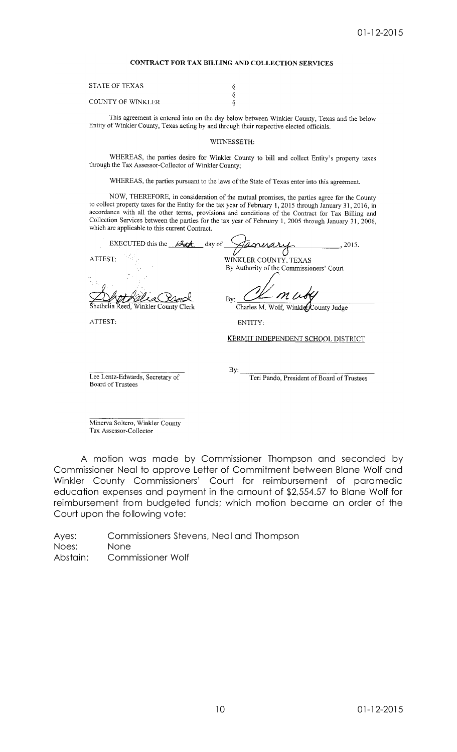### CONTRACT FOR TAX BILLING AND COLLECTION SERVICES

 $\S$  $\S$  $\overline{\S}$ 

| STATE OF TEXAS    |  |
|-------------------|--|
| COUNTY OF WINKLER |  |

This agreement is entered into on the day below between Winkler County, Texas and the below Entity of Winkler County, Texas acting by and through their respective elected officials.

### WITNESSETH:

WHEREAS, the parties desire for Winkler County to bill and collect Entity's property taxes through the Tax Assessor-Collector of Winkler County;

WHEREAS, the parties pursuant to the laws of the State of Texas enter into this agreement.

NOW, THEREFORE, in consideration of the mutual promises, the parties agree for the County to collect property taxes for the Entity for the tax year of February 1, 2015 through January 31, 2016, in accordance with all the other terms, provisions and conditions of the Contract for Tax Billing and Collection Services between the parties for the tax year of February 1, 2005 through January 31, 2006, which are applicable to this current Contract.

EXECUTED this the  $\frac{\partial \mathcal{L}}{\partial x}$  day of  $, 2015.$ Vs. WINKLER COUNTY, TEXAS ATTEST: By Authority of the Commissioners' Court  $n\,\mu$  $Bv$ Charles M. Wolf, WinklerCounty Judge ethelia Reed, Winkler County Clerk ATTEST: ENTITY:

KERMIT INDEPENDENT SCHOOL DISTRICT

Lee Lentz-Edwards, Secretary of Board of Trustees

By:

Teri Pando, President of Board of Trustees

Minerva Soltero, Winkler County Tax Assessor-Collector

A motion was made by Commissioner Thompson and seconded by Commissioner Neal to approve Letter of Commitment between Blane Wolf and Winkler County Commissioners' Court for reimbursement of paramedic education expenses and payment in the amount of \$2,554.57 to Blane Wolf for reimbursement from budgeted funds; which motion became an order of the Court upon the following vote:

Ayes: Commissioners Stevens, Neal and Thompson Noes: None Abstain: Commissioner Wolf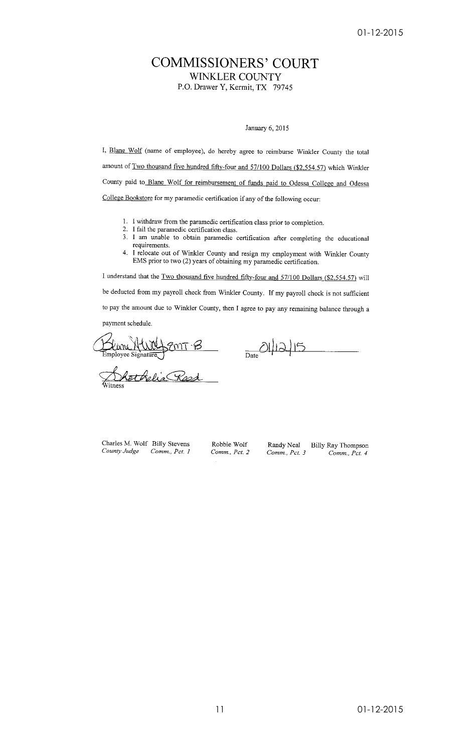# **COMMISSIONERS' COURT WINKLER COUNTY**

P.O. Drawer Y, Kermit, TX 79745

### January 6, 2015

I, Blane Wolf (name of employee), do hereby agree to reimburse Winkler County the total amount of Two thousand five hundred fifty-four and 57/100 Dollars (\$2,554.57) which Winkler County paid to Blane Wolf for reimbursement of funds paid to Odessa College and Odessa College Bookstore for my paramedic certification if any of the following occur:

- 1. I withdraw from the paramedic certification class prior to completion.
- 2. I fail the paramedic certification class.
- 3. I am unable to obtain paramedic certification after completing the educational requirements.
- 4. I relocate out of Winkler County and resign my employment with Winkler County EMS prior to two (2) years of obtaining my paramedic certification.

I understand that the Two thousand five hundred fifty-four and 57/100 Dollars (\$2,554.57) will be deducted from my payroll check from Winkler County. If my payroll check is not sufficient to pay the amount due to Winkler County, then I agree to pay any remaining balance through a payment schedule.

Linne NWY SMT B <u> hethelia Rosa</u>

 $D_{\text{late}}$  $\text{O}\left(\frac{1}{2}\right)$ 

Randy Neal

Comm., Pct. 3

Charles M. Wolf Billy Stevens County Judge Comm., Pct. 1

Robbie Wolf Comm., Pct. 2 Billy Ray Thompson Comm., Pct. 4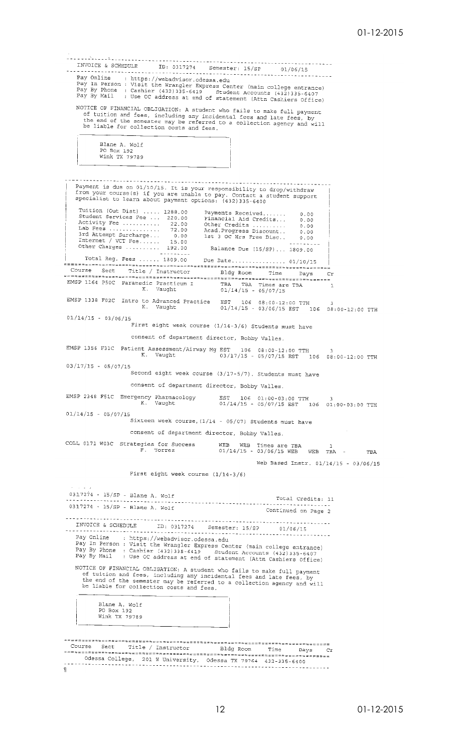. . . . . . . . . . . . . . . . TRVOICE & SCHEDULE TD: 0317274 Semester: 15/SP 01/06/15<br>Pay Online 1.1 Apple 2011 Semester: 15/SP 01/06/15 Pay Online : https://webadvisor.odessa.edu<br>Pay In Person : Visit the Wrangler Express Center (main college entrance)<br>Pay In Person : Visit the Wrangler Express Center (main college entrance)<br>Pay By Phone : Cashier (432)335 NOTICE OF FINANCIAL OBLIGATION: A student who fails to make full payment<br>of tuition and fees, including any incidental fees and heli payment DILLE OF FINANCIAL OBLIGATION: A student who fails to make full payment<br>of tuition and fees, including any incidental fees and late fees, by<br>the end of the semester may be referred to a collection agency and will<br>be liable Blane A. Wolf Diane A. WOIL<br>PO Box 192<br>Wink TX 79789 Payment is due on 01/10/15. It is your responsibility to drop/withdraw<br>from your course(s) if you are unable to pay. Contact a student support<br>specialist to learn about payment options: (432)335-6400 Tuition (Out Dist) .... 1288.00<br>Student Services Fee ... 220.00<br>Activity Fee ......... 22.00<br>Activity Fee .......... 72.00<br>Internet / VCT Fee ......... 15.00<br>Other Charges ......... 192.00<br>Total Per Fees Payments Received.......<br>Financial Aid Credits...<br>Other Credits ..........<br>Acad.Progress Discount..<br>1st 3 OC Hrs Free Disc..  $0.00$  $0.00$ <br> $0.00$  $0.00$  $0.00$ Balance Due (15/SP)... 1809.00 Cr  $\mathbf{1}$ EMSP 1338 F02C Intro to Advanced Practice EST 106 08:00-12:00 TTH 3<br>
K. Vaught 01/14/15 - 03/06/15 EST 106 08:00-12:00 TTH  $01/14/15 - 03/06/15$ First eight week course  $(1/14-3/6)$  Students must have consent of department director, Bobby Valles. EMSP 1356 F31C Patient Assessment/Airway Mg EST 106 08:00-12:00 TTH<br>K. Vaught 03/17/15 - 05/07/15 EST 1 ..<br>106 08:00-12:00 TTH  $03/17/15 - 05/07/15$ Second eight week course (3/17-5/7). Students must have consent of department director, Bobby Valles. EMSP 2348 F51C Emergency Pharmacology EST 106 01:00-03:00 TTH 3<br>01/14/15 - 05/07/15 EST 106 01:00-03:00 TTH Vaught  $K,$  $01/14/15 - 05/07/15$ Sixteen week course, (1/14 - 05/07) Students must have consent of department director, Bobby Valles. COLL 0171 W03C Strategies for Success WEB WEB Times are TBA 1<br>F. Torrez 01/14/15 - 03/06/15 WEB TBA -**TBA** Web Based Instr. 01/14/15 - 03/06/15 First eight week course  $(1/14-3/6)$  $0317274 - 15/SP - Blane A. Wolf$ Total Credits: 11 . . . . . . . . . . . . . . . . . . <u>. . . . .</u> . . . 0317274 - 15/SP - Blane A. Wolf Continued on Page 2 INVOICE & SCHEDING ---------------<br>01/06/15<br>-----------------------<br>-Pay Online : https://webadvisor.odessa.edu<br>Pay Inferment : https://webadvisor.odessa.edu<br>Pay Infermon : Visit the Wrangler Express Center (main college entrance)<br>Pay By Phone : Cashier (432)335-6419 Student Accounts (432)3 NOTICE OF FINANCIAL OBLIGATION: A student who fails to make full payment<br>of tuition and fees, including any incidental fees and late fees, by<br>the end of the semester may be referred to a collection agency and will<br>be liabl Blane A. Wolf<br>PO Box 192 Wink TX 79789 =================== ............  $C_{\mathcal{T}}$  $\mathbb{P}$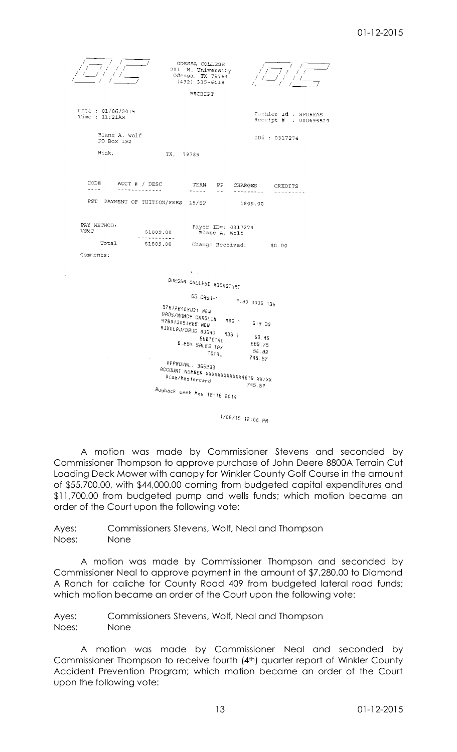

A motion was made by Commissioner Stevens and seconded by Commissioner Thompson to approve purchase of John Deere 8800A Terrain Cut Loading Deck Mower with canopy for Winkler County Golf Course in the amount of \$55,700.00, with \$44,000.00 coming from budgeted capital expenditures and \$11,700.00 from budgeted pump and wells funds; which motion became an order of the Court upon the following vote:

Ayes: Commissioners Stevens, Wolf, Neal and Thompson Noes: None

A motion was made by Commissioner Thompson and seconded by Commissioner Neal to approve payment in the amount of \$7,280.00 to Diamond A Ranch for caliche for County Road 409 from budgeted lateral road funds; which motion became an order of the Court upon the following vote:

Ayes: Commissioners Stevens, Wolf, Neal and Thompson Noes: None

A motion was made by Commissioner Neal and seconded by Commissioner Thompson to receive fourth (4th) quarter report of Winkler County Accident Prevention Program; which motion became an order of the Court upon the following vote: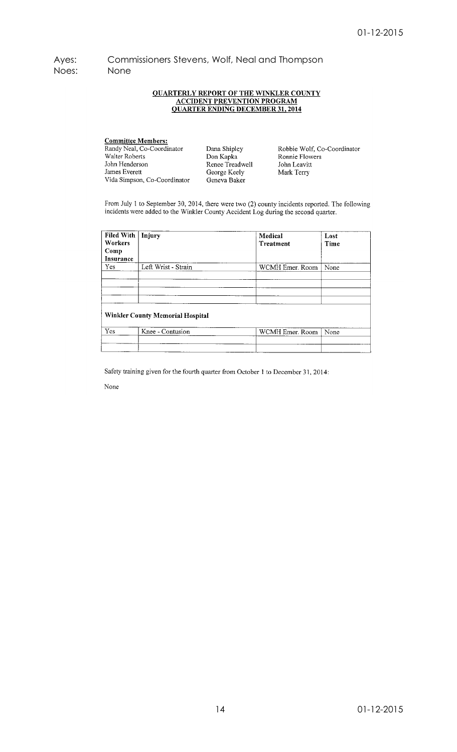Ayes: Commissioners Stevens, Wolf, Neal and Thompson Noes: None

# **QUARTERLY REPORT OF THE WINKLER COUNTY ACCIDENT PREVENTION PROGRAM**<br>QUARTER ENDING DECEMBER 31, 2014

**Committee Members:**<br>Randy Neal, Co-Coordinator Walter Roberts John Henderson James Everett Vida Simpson, Co-Coordinator

Dana Shipley Dana Sinpicy<br>Don Kapka<br>Renee Treadwell George Keely Geneva Baker

Robbie Wolf, Co-Coordinator Robbie Wolf, et<br>Ronnie Flowers<br>John Leavitt Mark Terry

From July 1 to September 30, 2014, there were two (2) county incidents reported. The following incidents were added to the Winkler County Accident Log during the second quarter.

| Filed With<br>Workers<br>Comp<br>Insurance | Injury                                  | Medical<br>Treatment | Lost<br>Time |
|--------------------------------------------|-----------------------------------------|----------------------|--------------|
| Yes                                        | Left Wrist - Strain                     | WCMH Emer. Room      | None         |
|                                            | <b>Winkler County Memorial Hospital</b> |                      |              |
| Yes                                        | Knee - Contusion                        | WCMH Emer. Room      | None         |

Safety training given for the fourth quarter from October 1 to December 31, 2014:

None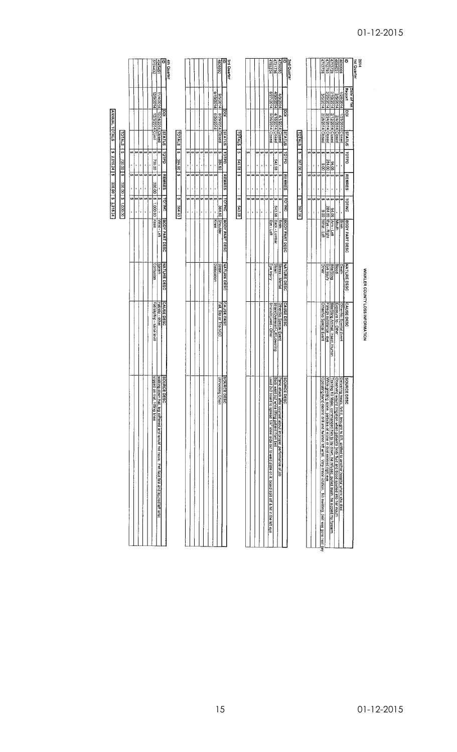| 3rd Quarter<br><b>2nd Quarter</b><br>4713728<br>4712793<br>ö<br>1st Quarter<br>4731736<br>4785234<br>4726080<br>4690006<br>4th Quarter<br>ō<br>1713728<br>1694031<br>1945451<br>2669081<br>Report<br>Date of 1st<br>1/24/2014<br>9/19/2014 8/20/2014<br>6/27/2014 5/26/2014 Closed<br>4/30/2014<br>125/2014<br>1972014<br>T1/4/2014 10/24/2014 Closed<br>12/2014<br>1702/5/6<br>4/3/2014<br>3/5/2014<br>g<br>इ<br>g<br>g<br>8/29/2014 Closed<br>2/12/2014 Closed<br>4/1/2014 Crosed<br>4/16/2014 Crosed<br>2/24/2014 Closed<br>2/28/2014 Closed<br>I/23/2014 Closed<br>2/4/2014 Closed<br><b>SLATUS</b><br><b>SU410S</b><br><b>TOTALS</b><br><b>SULVIS</b><br><b>SUIVIS</b><br><b>TOTALS</b><br>TOTALS<br>5<br>5<br>5<br>69 (s)<br>TOTPD<br>'n<br>U)<br>ů,<br>ø<br>tn,<br>ø<br>ç,<br>th,<br>v,<br>cn<br>o<br>÷,<br>m<br>e,<br>é4<br><b>Dation</b><br>TOTPD<br>Ø<br>49<br>₩<br>deliol<br>61<br>÷,<br>œ<br>€Ĥ<br>U,<br><b>S43.58</b><br>384.60 \$<br>543.58<br>30,782<br>384.60<br>284.00<br>94.05<br>8,00<br>,<br>ı<br>$\mathbf{I}$<br>×,<br>ı<br>,<br>5<br>ø<br><b>REMRES</b><br>ç,<br>↔<br>Įω<br><b>s</b><br>۱m<br>G)<br><b>REMRES</b><br>ø<br>i sa<br>١o<br>¢,<br>e,<br>ø<br>۰<br>ç,<br>ç,<br><b>REMRES</b><br><b>SA</b><br>49<br>ċ,<br><u>ی</u><br>€A<br>co.<br>€A<br><b>REMRES</b><br>49<br>49<br>í,<br>$\ddot{\phantom{0}}$<br>k<br>$\ddot{\phantom{0}}$<br>ï<br>ı<br>,<br>$\ddot{\phantom{0}}$<br>,<br>í.<br>ï<br>$\blacksquare$<br>í.<br>ï<br>69<br><b>TOTINC</b><br>69<br>6<br>₩<br>g,<br>G,<br>49<br>₩<br>₩,<br>k۹<br>ø<br>€<br><b>TOTING</b><br>$\bullet$<br>ó٩<br>ŧ۵<br>ta<br>ø<br><b>TOTING</b><br>€Ą<br>€A<br>ø<br><b>SA</b><br>69<br>o<br>⇔<br>↮<br>t.<br>49<br><b>TOTINC</b><br>384.60<br>543.58<br>387.06<br>384.60<br>- Brain<br>543.58 Back - Lumbar<br>284 00 Eye - Right<br>94.06 Arm-Left<br>9.00 Mrist Left<br>,<br>ř.<br>ı<br>,<br>ł<br>ï<br>ı,<br>ï<br>ï<br>í.<br>Wilst-Left<br>BODY PART DESC<br><b>Shoulder</b><br>BODY PART DESC<br><b>BODY PART DESC</b><br>BODY PART DESC<br>Knee<br>Eye - Left<br>Mouth<br>Brain<br><b>NATURE DESC</b><br><b>NATURE DESC</b><br><u>Sprain</u><br><b>Dislocation</b><br><b>Strain</b><br><b>MATURE DESC</b><br>Stress - Mental<br>Strain<br>Bite/Sting<br>Bioot<br>Eye Injury<br><b>IOther</b><br>Eye Injury<br><b>NATURE DESC</b><br>Death<br>CAUSE DESC<br>Fall/slip - other<br>CAUSE DESC<br>Struck/Injured - Other<br>CAUSE DESC<br>Fall, Sitp or Trip NOC<br>Strain/Overexert-Lift/Lowering<br>Other/No Special Event<br>CAUSE DESC<br>Other/No Special Event<br>Bite/Sting Animal, Insect,<br>Exposure to - Other<br>Other/No Special Event<br>Foreign substance - eye<br>Human |
|----------------------------------------------------------------------------------------------------------------------------------------------------------------------------------------------------------------------------------------------------------------------------------------------------------------------------------------------------------------------------------------------------------------------------------------------------------------------------------------------------------------------------------------------------------------------------------------------------------------------------------------------------------------------------------------------------------------------------------------------------------------------------------------------------------------------------------------------------------------------------------------------------------------------------------------------------------------------------------------------------------------------------------------------------------------------------------------------------------------------------------------------------------------------------------------------------------------------------------------------------------------------------------------------------------------------------------------------------------------------------------------------------------------------------------------------------------------------------------------------------------------------------------------------------------------------------------------------------------------------------------------------------------------------------------------------------------------------------------------------------------------------------------------------------------------------------------------------------------------------------------------------------------------------------------------------------------------------------------------------------------------------------------------------------------------------------------------------------------------------------------------------------------------------------------------------------------------------------------------------------------------------------------------------------------------------------------------------------------------------------------------------------------------------------------------------------------------------------------------------------------------------------------------------------------------------------------------------------------------------------------------------------|
|                                                                                                                                                                                                                                                                                                                                                                                                                                                                                                                                                                                                                                                                                                                                                                                                                                                                                                                                                                                                                                                                                                                                                                                                                                                                                                                                                                                                                                                                                                                                                                                                                                                                                                                                                                                                                                                                                                                                                                                                                                                                                                                                                                                                                                                                                                                                                                                                                                                                                                                                                                                                                                                    |
|                                                                                                                                                                                                                                                                                                                                                                                                                                                                                                                                                                                                                                                                                                                                                                                                                                                                                                                                                                                                                                                                                                                                                                                                                                                                                                                                                                                                                                                                                                                                                                                                                                                                                                                                                                                                                                                                                                                                                                                                                                                                                                                                                                                                                                                                                                                                                                                                                                                                                                                                                                                                                                                    |
|                                                                                                                                                                                                                                                                                                                                                                                                                                                                                                                                                                                                                                                                                                                                                                                                                                                                                                                                                                                                                                                                                                                                                                                                                                                                                                                                                                                                                                                                                                                                                                                                                                                                                                                                                                                                                                                                                                                                                                                                                                                                                                                                                                                                                                                                                                                                                                                                                                                                                                                                                                                                                                                    |
|                                                                                                                                                                                                                                                                                                                                                                                                                                                                                                                                                                                                                                                                                                                                                                                                                                                                                                                                                                                                                                                                                                                                                                                                                                                                                                                                                                                                                                                                                                                                                                                                                                                                                                                                                                                                                                                                                                                                                                                                                                                                                                                                                                                                                                                                                                                                                                                                                                                                                                                                                                                                                                                    |
|                                                                                                                                                                                                                                                                                                                                                                                                                                                                                                                                                                                                                                                                                                                                                                                                                                                                                                                                                                                                                                                                                                                                                                                                                                                                                                                                                                                                                                                                                                                                                                                                                                                                                                                                                                                                                                                                                                                                                                                                                                                                                                                                                                                                                                                                                                                                                                                                                                                                                                                                                                                                                                                    |
|                                                                                                                                                                                                                                                                                                                                                                                                                                                                                                                                                                                                                                                                                                                                                                                                                                                                                                                                                                                                                                                                                                                                                                                                                                                                                                                                                                                                                                                                                                                                                                                                                                                                                                                                                                                                                                                                                                                                                                                                                                                                                                                                                                                                                                                                                                                                                                                                                                                                                                                                                                                                                                                    |
|                                                                                                                                                                                                                                                                                                                                                                                                                                                                                                                                                                                                                                                                                                                                                                                                                                                                                                                                                                                                                                                                                                                                                                                                                                                                                                                                                                                                                                                                                                                                                                                                                                                                                                                                                                                                                                                                                                                                                                                                                                                                                                                                                                                                                                                                                                                                                                                                                                                                                                                                                                                                                                                    |
|                                                                                                                                                                                                                                                                                                                                                                                                                                                                                                                                                                                                                                                                                                                                                                                                                                                                                                                                                                                                                                                                                                                                                                                                                                                                                                                                                                                                                                                                                                                                                                                                                                                                                                                                                                                                                                                                                                                                                                                                                                                                                                                                                                                                                                                                                                                                                                                                                                                                                                                                                                                                                                                    |
|                                                                                                                                                                                                                                                                                                                                                                                                                                                                                                                                                                                                                                                                                                                                                                                                                                                                                                                                                                                                                                                                                                                                                                                                                                                                                                                                                                                                                                                                                                                                                                                                                                                                                                                                                                                                                                                                                                                                                                                                                                                                                                                                                                                                                                                                                                                                                                                                                                                                                                                                                                                                                                                    |
|                                                                                                                                                                                                                                                                                                                                                                                                                                                                                                                                                                                                                                                                                                                                                                                                                                                                                                                                                                                                                                                                                                                                                                                                                                                                                                                                                                                                                                                                                                                                                                                                                                                                                                                                                                                                                                                                                                                                                                                                                                                                                                                                                                                                                                                                                                                                                                                                                                                                                                                                                                                                                                                    |
|                                                                                                                                                                                                                                                                                                                                                                                                                                                                                                                                                                                                                                                                                                                                                                                                                                                                                                                                                                                                                                                                                                                                                                                                                                                                                                                                                                                                                                                                                                                                                                                                                                                                                                                                                                                                                                                                                                                                                                                                                                                                                                                                                                                                                                                                                                                                                                                                                                                                                                                                                                                                                                                    |
|                                                                                                                                                                                                                                                                                                                                                                                                                                                                                                                                                                                                                                                                                                                                                                                                                                                                                                                                                                                                                                                                                                                                                                                                                                                                                                                                                                                                                                                                                                                                                                                                                                                                                                                                                                                                                                                                                                                                                                                                                                                                                                                                                                                                                                                                                                                                                                                                                                                                                                                                                                                                                                                    |
|                                                                                                                                                                                                                                                                                                                                                                                                                                                                                                                                                                                                                                                                                                                                                                                                                                                                                                                                                                                                                                                                                                                                                                                                                                                                                                                                                                                                                                                                                                                                                                                                                                                                                                                                                                                                                                                                                                                                                                                                                                                                                                                                                                                                                                                                                                                                                                                                                                                                                                                                                                                                                                                    |
|                                                                                                                                                                                                                                                                                                                                                                                                                                                                                                                                                                                                                                                                                                                                                                                                                                                                                                                                                                                                                                                                                                                                                                                                                                                                                                                                                                                                                                                                                                                                                                                                                                                                                                                                                                                                                                                                                                                                                                                                                                                                                                                                                                                                                                                                                                                                                                                                                                                                                                                                                                                                                                                    |
|                                                                                                                                                                                                                                                                                                                                                                                                                                                                                                                                                                                                                                                                                                                                                                                                                                                                                                                                                                                                                                                                                                                                                                                                                                                                                                                                                                                                                                                                                                                                                                                                                                                                                                                                                                                                                                                                                                                                                                                                                                                                                                                                                                                                                                                                                                                                                                                                                                                                                                                                                                                                                                                    |
|                                                                                                                                                                                                                                                                                                                                                                                                                                                                                                                                                                                                                                                                                                                                                                                                                                                                                                                                                                                                                                                                                                                                                                                                                                                                                                                                                                                                                                                                                                                                                                                                                                                                                                                                                                                                                                                                                                                                                                                                                                                                                                                                                                                                                                                                                                                                                                                                                                                                                                                                                                                                                                                    |
|                                                                                                                                                                                                                                                                                                                                                                                                                                                                                                                                                                                                                                                                                                                                                                                                                                                                                                                                                                                                                                                                                                                                                                                                                                                                                                                                                                                                                                                                                                                                                                                                                                                                                                                                                                                                                                                                                                                                                                                                                                                                                                                                                                                                                                                                                                                                                                                                                                                                                                                                                                                                                                                    |
|                                                                                                                                                                                                                                                                                                                                                                                                                                                                                                                                                                                                                                                                                                                                                                                                                                                                                                                                                                                                                                                                                                                                                                                                                                                                                                                                                                                                                                                                                                                                                                                                                                                                                                                                                                                                                                                                                                                                                                                                                                                                                                                                                                                                                                                                                                                                                                                                                                                                                                                                                                                                                                                    |
|                                                                                                                                                                                                                                                                                                                                                                                                                                                                                                                                                                                                                                                                                                                                                                                                                                                                                                                                                                                                                                                                                                                                                                                                                                                                                                                                                                                                                                                                                                                                                                                                                                                                                                                                                                                                                                                                                                                                                                                                                                                                                                                                                                                                                                                                                                                                                                                                                                                                                                                                                                                                                                                    |
|                                                                                                                                                                                                                                                                                                                                                                                                                                                                                                                                                                                                                                                                                                                                                                                                                                                                                                                                                                                                                                                                                                                                                                                                                                                                                                                                                                                                                                                                                                                                                                                                                                                                                                                                                                                                                                                                                                                                                                                                                                                                                                                                                                                                                                                                                                                                                                                                                                                                                                                                                                                                                                                    |
|                                                                                                                                                                                                                                                                                                                                                                                                                                                                                                                                                                                                                                                                                                                                                                                                                                                                                                                                                                                                                                                                                                                                                                                                                                                                                                                                                                                                                                                                                                                                                                                                                                                                                                                                                                                                                                                                                                                                                                                                                                                                                                                                                                                                                                                                                                                                                                                                                                                                                                                                                                                                                                                    |
|                                                                                                                                                                                                                                                                                                                                                                                                                                                                                                                                                                                                                                                                                                                                                                                                                                                                                                                                                                                                                                                                                                                                                                                                                                                                                                                                                                                                                                                                                                                                                                                                                                                                                                                                                                                                                                                                                                                                                                                                                                                                                                                                                                                                                                                                                                                                                                                                                                                                                                                                                                                                                                                    |
|                                                                                                                                                                                                                                                                                                                                                                                                                                                                                                                                                                                                                                                                                                                                                                                                                                                                                                                                                                                                                                                                                                                                                                                                                                                                                                                                                                                                                                                                                                                                                                                                                                                                                                                                                                                                                                                                                                                                                                                                                                                                                                                                                                                                                                                                                                                                                                                                                                                                                                                                                                                                                                                    |
|                                                                                                                                                                                                                                                                                                                                                                                                                                                                                                                                                                                                                                                                                                                                                                                                                                                                                                                                                                                                                                                                                                                                                                                                                                                                                                                                                                                                                                                                                                                                                                                                                                                                                                                                                                                                                                                                                                                                                                                                                                                                                                                                                                                                                                                                                                                                                                                                                                                                                                                                                                                                                                                    |
|                                                                                                                                                                                                                                                                                                                                                                                                                                                                                                                                                                                                                                                                                                                                                                                                                                                                                                                                                                                                                                                                                                                                                                                                                                                                                                                                                                                                                                                                                                                                                                                                                                                                                                                                                                                                                                                                                                                                                                                                                                                                                                                                                                                                                                                                                                                                                                                                                                                                                                                                                                                                                                                    |
|                                                                                                                                                                                                                                                                                                                                                                                                                                                                                                                                                                                                                                                                                                                                                                                                                                                                                                                                                                                                                                                                                                                                                                                                                                                                                                                                                                                                                                                                                                                                                                                                                                                                                                                                                                                                                                                                                                                                                                                                                                                                                                                                                                                                                                                                                                                                                                                                                                                                                                                                                                                                                                                    |
|                                                                                                                                                                                                                                                                                                                                                                                                                                                                                                                                                                                                                                                                                                                                                                                                                                                                                                                                                                                                                                                                                                                                                                                                                                                                                                                                                                                                                                                                                                                                                                                                                                                                                                                                                                                                                                                                                                                                                                                                                                                                                                                                                                                                                                                                                                                                                                                                                                                                                                                                                                                                                                                    |
|                                                                                                                                                                                                                                                                                                                                                                                                                                                                                                                                                                                                                                                                                                                                                                                                                                                                                                                                                                                                                                                                                                                                                                                                                                                                                                                                                                                                                                                                                                                                                                                                                                                                                                                                                                                                                                                                                                                                                                                                                                                                                                                                                                                                                                                                                                                                                                                                                                                                                                                                                                                                                                                    |
|                                                                                                                                                                                                                                                                                                                                                                                                                                                                                                                                                                                                                                                                                                                                                                                                                                                                                                                                                                                                                                                                                                                                                                                                                                                                                                                                                                                                                                                                                                                                                                                                                                                                                                                                                                                                                                                                                                                                                                                                                                                                                                                                                                                                                                                                                                                                                                                                                                                                                                                                                                                                                                                    |

|                           |                                       | ξ                    |        |                             |  |                     | pinius loth keekes louw poolise maios maios | <b>Case Dealer</b>         | <b>POINT DEPA</b>                                                                         |
|---------------------------|---------------------------------------|----------------------|--------|-----------------------------|--|---------------------|---------------------------------------------|----------------------------|-------------------------------------------------------------------------------------------|
|                           | "+LOZ/P/L.                            | 14 10/24/2014 Closed |        |                             |  | <b>MY1SI - Left</b> | Sprain                                      | Fall/slip - other          | op buixiem.<br>al, leg stiffened and would not move. Fell face first and injured left wri |
| $\frac{4945451}{5124432}$ | uado   212/2014   213/2014   214/2020 |                      | 700.00 | 300.00   \$ 1.000.00   Knee |  |                     | Contusion                                   | Fall/slip/trp - same level | alpped on<br><b>TIME KTEE</b>                                                             |
|                           |                                       |                      |        |                             |  |                     |                                             |                            |                                                                                           |
|                           |                                       |                      |        |                             |  |                     |                                             |                            |                                                                                           |
|                           |                                       |                      |        |                             |  |                     |                                             |                            |                                                                                           |
|                           |                                       |                      |        |                             |  |                     |                                             |                            |                                                                                           |
|                           |                                       |                      |        |                             |  |                     |                                             |                            |                                                                                           |
|                           |                                       |                      |        |                             |  |                     |                                             |                            |                                                                                           |

# 00.0001 s 1 00.005 s 1 00.001 s 1 00001 s 1 00001 s 1 00001 s 1 00001 s 1 0001 s 1 0001 s 1 0001 s 1 0001 s 1 0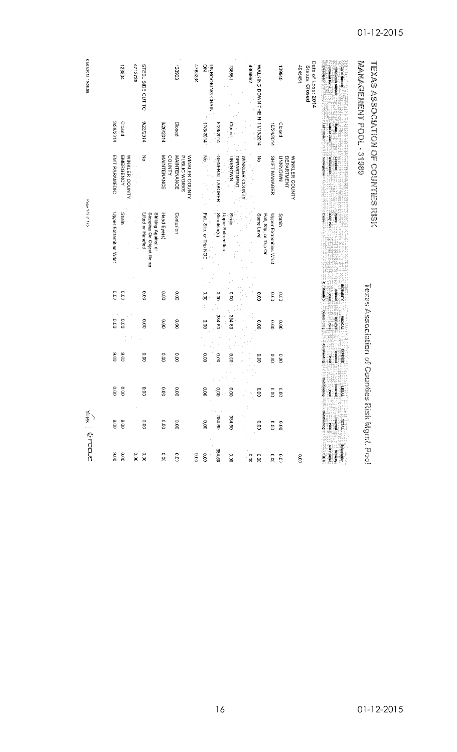| 61/01/2015 19:08:55 | 4713728<br>STEEL SIDE OUT TO<br>128804                                             | 4785234<br>133903                                                                           | $\widetilde{\mathbf{z}}$<br><b>UNHO OKING CHAIN</b><br>136851                                   | 7669087<br>WALKING DOWN THE H 11/19/2014<br><b>St66C1</b>                       | Date of Loss: 2014<br>Description<br>Status: Closed<br>4945451<br><b>Claimant Name</b><br><b>Prior Crain Number</b><br><b>Claim Number</b> | <b>S&amp;C ELEMENT SQUE SASS</b>           |
|---------------------|------------------------------------------------------------------------------------|---------------------------------------------------------------------------------------------|-------------------------------------------------------------------------------------------------|---------------------------------------------------------------------------------|--------------------------------------------------------------------------------------------------------------------------------------------|--------------------------------------------|
|                     | 9/23/2014<br>2/28/2014<br>Closed                                                   | 6/26/2014<br>Closed                                                                         | 12/3/2014<br>4/29/2014<br>Closed                                                                | 10/24/2014<br>Closed                                                            | Last Closed<br><b>Date of Loss</b><br>å<br>M                                                                                               |                                            |
|                     | $\overline{\delta}$<br>EMT PARAMEDIC<br><b>EMERGENCY</b><br>WINKLER COUNTY         | <b>MAINTENANCE</b><br><b>COUNTY</b><br>MAINTENANCE<br>PUBLIC WORKS<br><b>WINKLER COUNTY</b> | $M_0$<br><b>GENERAL LABORER</b><br><b>NAONSNO</b><br><b>DEPARTMENT</b><br><b>WINKLER COUNTY</b> | ξ<br>SHIFT MANAGER<br>NMONXNO<br>WINKLER COUNTY<br>DEPARTMENT                   | <b>Subfogation</b><br>Occupation<br>Location                                                                                               | <b>NORTHER CONSISTS AND CONSISTENTIALS</b> |
| Page 173 of 175     | Upper Extremities Wrist<br>Strain<br>Lifted or Handled<br>Stepping On Object Being | Striking Against or<br>Contusion<br>Head Eye(s)                                             | Shoulder(s)<br>Fall, Slip, or Trip NOC<br>Upper Extremities<br>Strain                           | <b>Upper Extremities Wrist</b><br>Same Level<br>Fall, Sip, or Trip On<br>Sprain | <b>Cause</b>                                                                                                                               |                                            |
|                     | 0.00<br>0.00<br><b>D.OD</b>                                                        | 00.00<br>0.00                                                                               | 0.00<br>00:0<br>io.<br>S                                                                        | 0.00<br>0.00<br>0.01                                                            | Outstanding<br>NDEMMITY<br>panical                                                                                                         |                                            |
|                     | 0.00<br>0.00<br>0.00                                                               | 0.00<br>0.00                                                                                | 384.60<br>384.60<br>0.00                                                                        | oo<br>o.oo<br>0.00                                                              | Outstanding<br><b>MEDICAL</b><br>ping Li<br>persing                                                                                        | To the second of the second second         |
|                     | 00'6<br>00.0<br>0.00                                                               | 0.00<br>0.00                                                                                | 0.00<br>0.00<br>00.0                                                                            | 00.00<br>0.00<br>000                                                            | <b>Outstanding</b><br><b>EXPENSE</b><br>Incurred<br>n a                                                                                    |                                            |
|                     | ē<br>0.<br>Š<br>8<br>ි<br>S                                                        | ę.<br>00.00<br>8                                                                            | Ö,<br>þ,<br>0<br>g<br>g<br>ġ                                                                    | O<br>۰<br>C<br>È,<br>ġ<br>ġ<br>S                                                | <b>En distancial de ESS</b>                                                                                                                |                                            |
| $\frac{1}{2}$       | 00.6<br>0.00<br>0.00                                                               | 0.00<br>0.00                                                                                | 384.60<br>384.60<br>oo.o                                                                        | 0.00<br>0.00<br>$0.00$                                                          |                                                                                                                                            | <b>For Maritime</b>                        |
| STOOT <sup>5</sup>  | 00.6<br>o.oo<br>0.00<br>0.00                                                       | 0.00<br>0.00<br>0.00                                                                        | 384.60<br>o.oo<br>$\overline{0.00}$                                                             | ooʻo<br>0.00<br>0.00<br>0.00                                                    | <b>Expertised</b><br><b>Conservation</b><br>Nei bornout<br>Nei bornout<br>Nei opera<br>0.00                                                |                                            |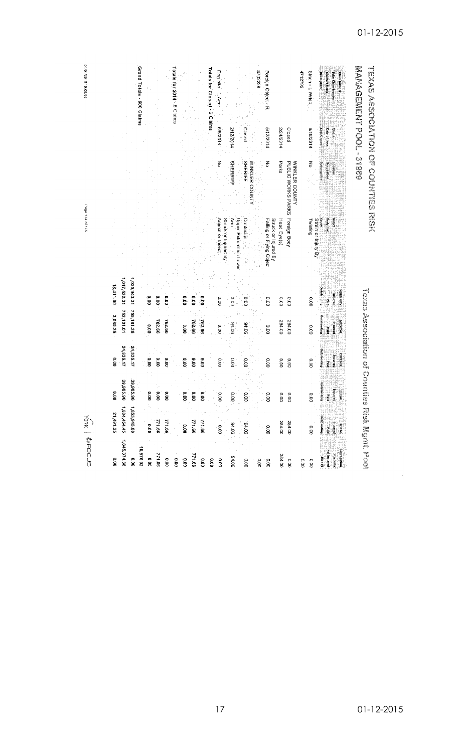| Grand Totals - 600 Claims<br>Totals for 2014 - 6 Claims<br>Totals for Closed - 6 Claims<br>Dog bite -<br>4702228<br>Foreign Object - R<br>4712793<br>Strain - L Wrist:<br>Description<br><b>Claimant Name</b><br>Prior Claim Num<br>Arni<br>102/9/9<br>2/12/2014<br>Closed<br>List Closed<br>4/2/2014<br><b>AT24/2014</b><br>Closed<br>6/18/2014<br>Date of Loss<br><b>Status</b><br>종<br><b>SHERRIFF</b><br><b>SHERIFF</b><br>WINKLER COUNTY<br>종<br>Parks<br>Subrogation<br>PUBLIC WORKS PARKS<br>WINKLER COUNTY<br>종<br>Occupation<br>Foreign Body<br>Struck or Injured By<br>Upper Extremities Lower<br><b>Body Pad</b><br>Animal or Insec<br>Am<br>Struck or Injured By<br>eaneg<br>Contusion<br>Falling or Flying Object<br>Head Eye(s)<br>Strain or<br>Mature<br>Twisting<br>ijury B)<br>1,017,532.31<br>1,035,943.31<br>18,411.00<br><b>Bupuetar</b><br>EMMIN<br>paulinist<br>óoʻo<br>0.00<br>O.OO<br><b>0.00</b><br>ÖÖ.<br>ិន<br>ខេ<br>oo.<br>$\overline{0.00}$<br>0.00<br>0.00<br>000<br>$\frac{6}{2}$<br>0.01<br>na<br>E<br>755,181.36<br>752,101.01<br>3,080.35<br>Outstanding<br>762.66<br>762.66<br>99'792<br>39'292<br>284.00<br>284.00<br><b>MEDICAL</b><br>partnar<br>94.06<br>90.16<br>o.oo<br><b>D.OO</b><br><b>0.00</b><br>0.00<br>o.oo<br>pie a<br>24,835.17<br>24,835.17<br>Dujanding<br>EXPENSE<br>00.00<br>paurau<br>8.00<br>00'6<br>00°6<br><b>S.00</b><br>0.00<br>00°6<br>0.00<br>oo oo<br>oo.o<br>0.00<br>0.00<br>0.00<br>0.00<br>ne d | <b>VORK   MAFOLUS</b> |  |  | Page 174 of 175 |                        | 01/01/2015 19:08:55 |
|-------------------------------------------------------------------------------------------------------------------------------------------------------------------------------------------------------------------------------------------------------------------------------------------------------------------------------------------------------------------------------------------------------------------------------------------------------------------------------------------------------------------------------------------------------------------------------------------------------------------------------------------------------------------------------------------------------------------------------------------------------------------------------------------------------------------------------------------------------------------------------------------------------------------------------------------------------------------------------------------------------------------------------------------------------------------------------------------------------------------------------------------------------------------------------------------------------------------------------------------------------------------------------------------------------------------------------------------------------------------------------------------------------------------------------------------------------------------|-----------------------|--|--|-----------------|------------------------|---------------------|
|                                                                                                                                                                                                                                                                                                                                                                                                                                                                                                                                                                                                                                                                                                                                                                                                                                                                                                                                                                                                                                                                                                                                                                                                                                                                                                                                                                                                                                                                   | ۶<br>g                |  |  |                 |                        |                     |
|                                                                                                                                                                                                                                                                                                                                                                                                                                                                                                                                                                                                                                                                                                                                                                                                                                                                                                                                                                                                                                                                                                                                                                                                                                                                                                                                                                                                                                                                   | 39,985.<br>Ş          |  |  |                 |                        |                     |
|                                                                                                                                                                                                                                                                                                                                                                                                                                                                                                                                                                                                                                                                                                                                                                                                                                                                                                                                                                                                                                                                                                                                                                                                                                                                                                                                                                                                                                                                   | 39,985.<br>ă          |  |  |                 |                        |                     |
|                                                                                                                                                                                                                                                                                                                                                                                                                                                                                                                                                                                                                                                                                                                                                                                                                                                                                                                                                                                                                                                                                                                                                                                                                                                                                                                                                                                                                                                                   |                       |  |  |                 |                        |                     |
|                                                                                                                                                                                                                                                                                                                                                                                                                                                                                                                                                                                                                                                                                                                                                                                                                                                                                                                                                                                                                                                                                                                                                                                                                                                                                                                                                                                                                                                                   | 8                     |  |  |                 |                        |                     |
|                                                                                                                                                                                                                                                                                                                                                                                                                                                                                                                                                                                                                                                                                                                                                                                                                                                                                                                                                                                                                                                                                                                                                                                                                                                                                                                                                                                                                                                                   | 8                     |  |  |                 |                        |                     |
|                                                                                                                                                                                                                                                                                                                                                                                                                                                                                                                                                                                                                                                                                                                                                                                                                                                                                                                                                                                                                                                                                                                                                                                                                                                                                                                                                                                                                                                                   | 8                     |  |  |                 |                        |                     |
|                                                                                                                                                                                                                                                                                                                                                                                                                                                                                                                                                                                                                                                                                                                                                                                                                                                                                                                                                                                                                                                                                                                                                                                                                                                                                                                                                                                                                                                                   |                       |  |  |                 |                        |                     |
|                                                                                                                                                                                                                                                                                                                                                                                                                                                                                                                                                                                                                                                                                                                                                                                                                                                                                                                                                                                                                                                                                                                                                                                                                                                                                                                                                                                                                                                                   | ŝ                     |  |  |                 |                        |                     |
|                                                                                                                                                                                                                                                                                                                                                                                                                                                                                                                                                                                                                                                                                                                                                                                                                                                                                                                                                                                                                                                                                                                                                                                                                                                                                                                                                                                                                                                                   | 8                     |  |  |                 |                        |                     |
|                                                                                                                                                                                                                                                                                                                                                                                                                                                                                                                                                                                                                                                                                                                                                                                                                                                                                                                                                                                                                                                                                                                                                                                                                                                                                                                                                                                                                                                                   | 8                     |  |  |                 |                        |                     |
|                                                                                                                                                                                                                                                                                                                                                                                                                                                                                                                                                                                                                                                                                                                                                                                                                                                                                                                                                                                                                                                                                                                                                                                                                                                                                                                                                                                                                                                                   |                       |  |  |                 |                        |                     |
|                                                                                                                                                                                                                                                                                                                                                                                                                                                                                                                                                                                                                                                                                                                                                                                                                                                                                                                                                                                                                                                                                                                                                                                                                                                                                                                                                                                                                                                                   | ä                     |  |  |                 |                        |                     |
|                                                                                                                                                                                                                                                                                                                                                                                                                                                                                                                                                                                                                                                                                                                                                                                                                                                                                                                                                                                                                                                                                                                                                                                                                                                                                                                                                                                                                                                                   |                       |  |  |                 |                        |                     |
|                                                                                                                                                                                                                                                                                                                                                                                                                                                                                                                                                                                                                                                                                                                                                                                                                                                                                                                                                                                                                                                                                                                                                                                                                                                                                                                                                                                                                                                                   | $\mathbf{S}$          |  |  |                 |                        |                     |
|                                                                                                                                                                                                                                                                                                                                                                                                                                                                                                                                                                                                                                                                                                                                                                                                                                                                                                                                                                                                                                                                                                                                                                                                                                                                                                                                                                                                                                                                   |                       |  |  |                 |                        |                     |
|                                                                                                                                                                                                                                                                                                                                                                                                                                                                                                                                                                                                                                                                                                                                                                                                                                                                                                                                                                                                                                                                                                                                                                                                                                                                                                                                                                                                                                                                   | $\mathbf{S}$          |  |  |                 |                        |                     |
|                                                                                                                                                                                                                                                                                                                                                                                                                                                                                                                                                                                                                                                                                                                                                                                                                                                                                                                                                                                                                                                                                                                                                                                                                                                                                                                                                                                                                                                                   |                       |  |  |                 |                        |                     |
|                                                                                                                                                                                                                                                                                                                                                                                                                                                                                                                                                                                                                                                                                                                                                                                                                                                                                                                                                                                                                                                                                                                                                                                                                                                                                                                                                                                                                                                                   | ë                     |  |  |                 |                        |                     |
|                                                                                                                                                                                                                                                                                                                                                                                                                                                                                                                                                                                                                                                                                                                                                                                                                                                                                                                                                                                                                                                                                                                                                                                                                                                                                                                                                                                                                                                                   | g                     |  |  |                 |                        |                     |
|                                                                                                                                                                                                                                                                                                                                                                                                                                                                                                                                                                                                                                                                                                                                                                                                                                                                                                                                                                                                                                                                                                                                                                                                                                                                                                                                                                                                                                                                   | $\overline{0}$        |  |  |                 |                        |                     |
|                                                                                                                                                                                                                                                                                                                                                                                                                                                                                                                                                                                                                                                                                                                                                                                                                                                                                                                                                                                                                                                                                                                                                                                                                                                                                                                                                                                                                                                                   |                       |  |  |                 |                        |                     |
|                                                                                                                                                                                                                                                                                                                                                                                                                                                                                                                                                                                                                                                                                                                                                                                                                                                                                                                                                                                                                                                                                                                                                                                                                                                                                                                                                                                                                                                                   | ġ                     |  |  |                 |                        |                     |
|                                                                                                                                                                                                                                                                                                                                                                                                                                                                                                                                                                                                                                                                                                                                                                                                                                                                                                                                                                                                                                                                                                                                                                                                                                                                                                                                                                                                                                                                   | Outstan<br>and and    |  |  |                 |                        |                     |
|                                                                                                                                                                                                                                                                                                                                                                                                                                                                                                                                                                                                                                                                                                                                                                                                                                                                                                                                                                                                                                                                                                                                                                                                                                                                                                                                                                                                                                                                   | Ē<br>i<br>12<br>      |  |  |                 |                        |                     |
|                                                                                                                                                                                                                                                                                                                                                                                                                                                                                                                                                                                                                                                                                                                                                                                                                                                                                                                                                                                                                                                                                                                                                                                                                                                                                                                                                                                                                                                                   |                       |  |  |                 |                        |                     |
|                                                                                                                                                                                                                                                                                                                                                                                                                                                                                                                                                                                                                                                                                                                                                                                                                                                                                                                                                                                                                                                                                                                                                                                                                                                                                                                                                                                                                                                                   |                       |  |  |                 | THE SCREED OF CONSOLER |                     |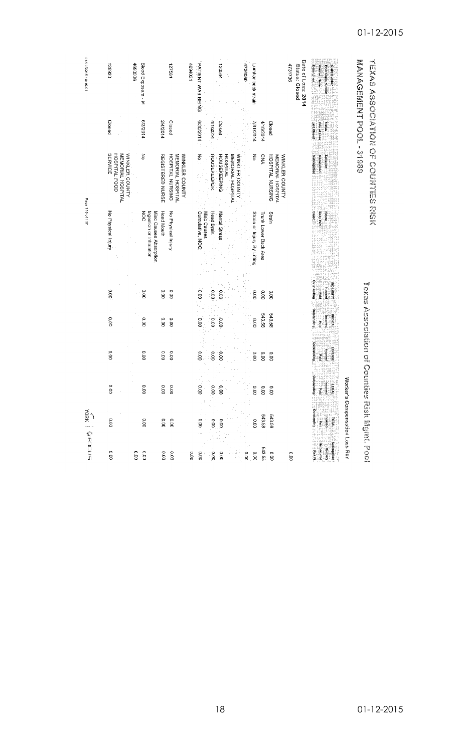| 01/01/2015 19:10:01      | 026921                                                                 | 4690006           | Blood Exposure - M                                                  |                  | 127581                                                  | 1694031 | PATIENT WAS BEING              |                | 4726080<br>130564                                                      | Lumbar back strain          |                       |                                                                | 4731736 | Date of Loss: 2014<br>Status: Closed | <b>Description</b><br><b>Claimant Name</b><br>Prior Claim Nu |                                | <b>SSLS-TOOLANEMEDVALUE</b>                    |                                      |
|--------------------------|------------------------------------------------------------------------|-------------------|---------------------------------------------------------------------|------------------|---------------------------------------------------------|---------|--------------------------------|----------------|------------------------------------------------------------------------|-----------------------------|-----------------------|----------------------------------------------------------------|---------|--------------------------------------|--------------------------------------------------------------|--------------------------------|------------------------------------------------|--------------------------------------|
|                          | Closed                                                                 |                   | 6/3/2014                                                            | 14/2014          | Closed                                                  |         | 6/30/2014                      | 4/1/2014       | Closed                                                                 | 7/31/2014                   | 4/16/2014             | Closed                                                         |         |                                      | Last Closed<br>Date of Loss                                  |                                |                                                |                                      |
|                          | <b>SERVICE</b><br>HOSPITAL FOOD<br>MEMORIAL HOSPITAL<br>WINKLER COUNTY |                   | š                                                                   | REGISTERED NURSE | HOSPITAL NURSING<br>MEMORIAL HOSPITAL<br>WINKLER COUNTY |         | ا<br>ج                         | HOUSEKEEPER    | <b>HOUSEKEEPING</b><br>MEMORIAL HOSPITAL<br>WINKLER COUNTY<br>HOSPITAL | š                           | CNA                   | WINKLER COUNTY<br>MEMORIAL HOSPITAL<br><b>HOSPITAL NURSING</b> |         |                                      | Subregation<br>Occupation<br>Localion                        |                                |                                                | <b>THE SERIES ARE ON DESIGNATION</b> |
| Page 115 of 117          | No Physical Injury                                                     |                   | $\frac{8}{3}$<br>Misc Causes Absorption,<br>Ingestion or Inhalation | Head Mouth       | No Physical Injury                                      |         | Misc Causes<br>Cumulative, NOC | Head Brain     | Mental Stress                                                          | Strain or Injury By Lifting | Trunk Lower Back Area | Strain                                                         |         |                                      | Body Par                                                     |                                |                                                |                                      |
|                          | 0.00                                                                   |                   | 0.00                                                                | 0.00             | 0.00                                                    |         | 00.00                          | 0.00           | δ.σ                                                                    | 000                         | 0.00                  | 0.00                                                           |         |                                      | <b>Perstanding</b><br><b>NDEMMIN</b><br>páritou<br>pilo      |                                |                                                |                                      |
|                          | 0.00                                                                   |                   | $\overline{\text{0.00}}$                                            | o.oo             | 0.00                                                    |         | 0.00                           | $\frac{1}{2}$  | .<br>00                                                                | 0.00                        | 543.58                | 543.58                                                         |         |                                      | Outstanding<br>pieg :                                        |                                |                                                |                                      |
|                          | 0.00                                                                   |                   | 00.00                                                               | 0.00             | 0.00                                                    |         | ö.o                            | 0.00           | 000                                                                    | 0.00                        | 0.00                  | O.OO                                                           |         |                                      | Dujpuetsing<br><b>EXPENSE</b><br>periman<br>Pie d            |                                |                                                |                                      |
|                          | ō<br>S                                                                 |                   | ö<br>8                                                              | ò<br>S           | ō<br>g                                                  |         | 9,<br>ġ.                       | O<br>ို        | Š.                                                                     | g                           | g                     | g                                                              |         |                                      | outstand<br><b>HEGAL</b><br>្នឹ<br>i<br>F                    |                                |                                                |                                      |
| <b>VORK   &amp;FOCUS</b> | 0.00                                                                   |                   | 0.00                                                                | 0.00             | 0.00                                                    |         | 0.00                           | $\frac{0}{20}$ | 000                                                                    | 0.00                        | 543.58                | <b>543.58</b>                                                  |         |                                      | <b>Constanding</b><br>règ                                    | Worker's Compensation Loss Run | TooS Association of Counties Risk Ingine, Pool |                                      |
|                          | o.oo                                                                   | $\overline{0.00}$ | 0.00                                                                | 0.00             | 000                                                     | 0.00    | 0.00                           | o.oo           | 0.00<br>0.00                                                           | 0.00                        | 543.58                | 0.00                                                           | 0.00    |                                      | outroome.<br>Subseque                                        |                                |                                                |                                      |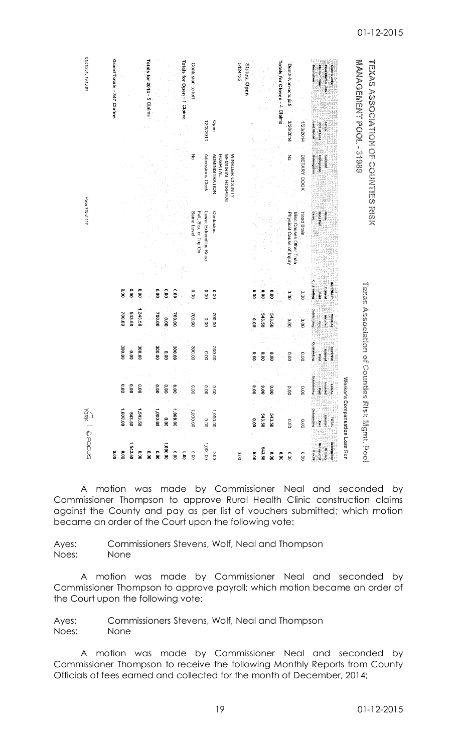| 01/01/2015 19:10:01 | Grand Totals - 347 Claims<br>Totals for 2014 - 5 Claims                                                 | Totals for Open - 1 Claims<br>Contusion to left<br>Open<br>12/3/2014<br>중<br>Admissions Clerk<br>ADMINISTRATION<br>MEMORIAL HOSPITAL<br>WINKLER COUNTY<br><b>HOSPITAL</b> | Totals for Closed - 4 Claims<br>5124432<br>Status: Open<br>Death-Non-occupati<br>3/20/2014<br><b>Lest Closed</b><br>1/23/2014<br>Date of Loss<br><b>Subregation</b><br>종<br>DIETARY COOK<br>Occupation | <b>WAGEINERY POOL: 31999</b><br><b>TEXAS ASSOCIATES IN COFIES RISKS RISKS</b> |
|---------------------|---------------------------------------------------------------------------------------------------------|---------------------------------------------------------------------------------------------------------------------------------------------------------------------------|--------------------------------------------------------------------------------------------------------------------------------------------------------------------------------------------------------|-------------------------------------------------------------------------------|
| Page 116 of 117     |                                                                                                         | Fall, Sip, or Trip On<br>Same Level<br>Lower Extremities Knee<br>Contusion                                                                                                | Physical Cause of Injury<br>Misc Causes Other Than<br>Cause <sub>.</sub><br>Head Brain<br><b>Outstanding</b><br>NDEMNITI                                                                               |                                                                               |
|                     | <b>O.OO</b><br>$\overline{\mathbf{0}}$<br>o.oo<br>o.oo<br>1,243.58<br>700.00<br><b>543.58</b><br>700.00 | $\overline{\mathbf{5}}$<br>$\frac{1}{2}$<br>0.00<br>00.00<br>$\overline{\mathrm{0.00}}$<br>700.00<br>700.00<br>00.007<br>្ត្រ<br>o.oo                                     | e.oo<br>0.00<br>0.00<br>o.oo<br>pauna<br>$\frac{1}{2}$<br>ine.<br>Supressio<br>543.58<br>543.58<br><b>MEDICA</b><br>Incurrec<br>0.00<br>0.00<br>pue d<br>0.00                                          | Mexical design of Containing                                                  |
|                     | 300.00<br>300.00<br>300.00<br>0.00                                                                      | 300.00<br>300.00<br>300.00<br>000<br>$\frac{1}{2}$<br>$\frac{1}{2}$                                                                                                       | Outstanding<br><b>EXPENSE</b><br>genred<br>$\frac{1}{2}$<br>0.00<br>00.00<br>$\frac{1}{8}$<br>o.oo<br>paid                                                                                             |                                                                               |
|                     | Ξ<br>9<br>ă<br>g<br>g<br>s                                                                              | O<br>0<br>Ρ<br>s<br>g<br>S<br>ë s                                                                                                                                         | dutstan<br>$\frac{6}{100}$<br>ŝ<br>ຸຣ<br>$\overline{8}$<br>ġ<br>ă                                                                                                                                      |                                                                               |
| Mak   MacLours      | 1,000.00<br>1,000.00<br>1,543.58<br>543.58                                                              | 1.000.00<br>1,000.00<br>00'0<br>00'000'L<br>00.00                                                                                                                         | outstanding<br>543.58<br>543.58<br>0.00<br>00.0<br>0.00                                                                                                                                                | Worker's Compensation Loss Run<br><b>Tools Building Island</b>                |
|                     | 1,543.58<br>0.00<br>0.00<br>o.oo<br>$\frac{1}{2}$<br>0.00                                               | 1,000.00<br>0.000, 1<br>.<br>0.00<br>0.00<br>$\frac{1}{2}$                                                                                                                | 543.58<br>00.00<br>o.oo<br>$\frac{1}{2}$<br>$\overline{\mathrm{co}}$<br>0.00<br>o.oo                                                                                                                   |                                                                               |

A motion was made by Commissioner Neal and seconded by Commissioner Thompson to approve Rural Health Clinic construction claims against the County and pay as per list of vouchers submitted; which motion became an order of the Court upon the following vote:

Ayes: Commissioners Stevens, Wolf, Neal and Thompson Noes: None

A motion was made by Commissioner Neal and seconded by Commissioner Thompson to approve payroll; which motion became an order of the Court upon the following vote:

Ayes: Commissioners Stevens, Wolf, Neal and Thompson Noes: None

A motion was made by Commissioner Neal and seconded by Commissioner Thompson to receive the following Monthly Reports from County Officials of fees earned and collected for the month of December, 2014;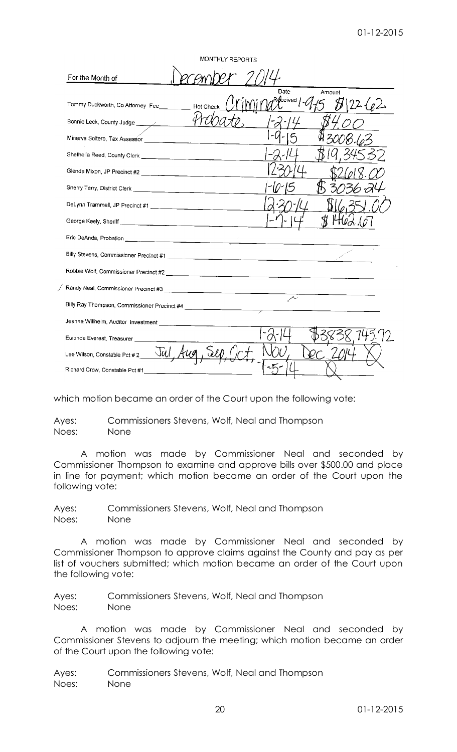| MONTHLY REPORTS                      |                                     |  |  |  |  |  |
|--------------------------------------|-------------------------------------|--|--|--|--|--|
| For the Month of                     |                                     |  |  |  |  |  |
| Hot Chec                             | Date<br>Amount<br>Received<br>22(2) |  |  |  |  |  |
| Bonnie Leck, County Judge            |                                     |  |  |  |  |  |
|                                      |                                     |  |  |  |  |  |
|                                      |                                     |  |  |  |  |  |
|                                      |                                     |  |  |  |  |  |
|                                      |                                     |  |  |  |  |  |
|                                      |                                     |  |  |  |  |  |
|                                      |                                     |  |  |  |  |  |
|                                      |                                     |  |  |  |  |  |
|                                      |                                     |  |  |  |  |  |
|                                      |                                     |  |  |  |  |  |
|                                      |                                     |  |  |  |  |  |
|                                      | $\sim$<br>$\overline{\phantom{a}}$  |  |  |  |  |  |
|                                      |                                     |  |  |  |  |  |
| Eulonda Everest, Treasurer _________ |                                     |  |  |  |  |  |
|                                      |                                     |  |  |  |  |  |
| Richard Crow, Constable Pct #1       |                                     |  |  |  |  |  |

which motion became an order of the Court upon the following vote:

Ayes: Commissioners Stevens, Wolf, Neal and Thompson Noes: None

A motion was made by Commissioner Neal and seconded by Commissioner Thompson to examine and approve bills over \$500.00 and place in line for payment; which motion became an order of the Court upon the following vote:

Ayes: Commissioners Stevens, Wolf, Neal and Thompson Noes: None

A motion was made by Commissioner Neal and seconded by Commissioner Thompson to approve claims against the County and pay as per list of vouchers submitted; which motion became an order of the Court upon the following vote:

Ayes: Commissioners Stevens, Wolf, Neal and Thompson Noes: None

A motion was made by Commissioner Neal and seconded by Commissioner Stevens to adjourn the meeting; which motion became an order of the Court upon the following vote:

Ayes: Commissioners Stevens, Wolf, Neal and Thompson Noes: None